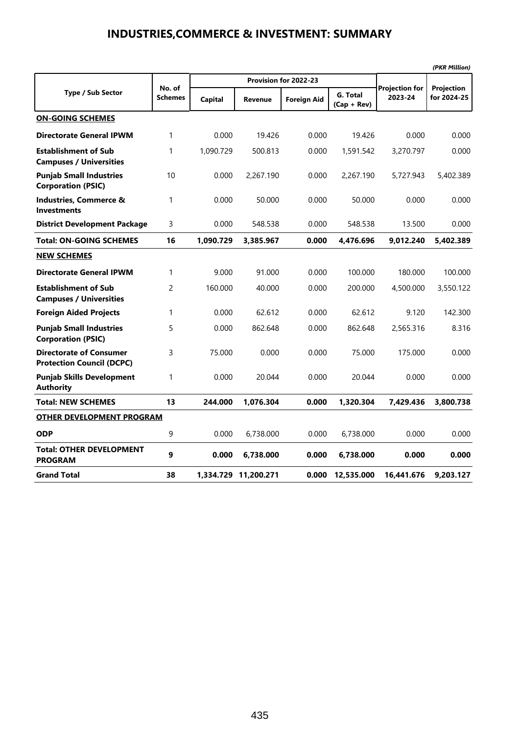### **INDUSTRIES,COMMERCE & INVESTMENT: SUMMARY**

|                                                                    |                          |                |                       |                    |                           |                                  | (PKR Million)             |
|--------------------------------------------------------------------|--------------------------|----------------|-----------------------|--------------------|---------------------------|----------------------------------|---------------------------|
|                                                                    |                          |                | Provision for 2022-23 |                    |                           |                                  |                           |
| <b>Type / Sub Sector</b>                                           | No. of<br><b>Schemes</b> | <b>Capital</b> | Revenue               | <b>Foreign Aid</b> | G. Total<br>$(Cap + Rev)$ | <b>Projection for</b><br>2023-24 | Projection<br>for 2024-25 |
| <b>ON-GOING SCHEMES</b>                                            |                          |                |                       |                    |                           |                                  |                           |
| <b>Directorate General IPWM</b>                                    | 1                        | 0.000          | 19.426                | 0.000              | 19.426                    | 0.000                            | 0.000                     |
| <b>Establishment of Sub</b><br><b>Campuses / Universities</b>      | 1                        | 1,090.729      | 500.813               | 0.000              | 1,591.542                 | 3,270.797                        | 0.000                     |
| <b>Punjab Small Industries</b><br><b>Corporation (PSIC)</b>        | 10                       | 0.000          | 2,267.190             | 0.000              | 2,267.190                 | 5,727.943                        | 5,402.389                 |
| Industries, Commerce &<br><b>Investments</b>                       | 1                        | 0.000          | 50.000                | 0.000              | 50.000                    | 0.000                            | 0.000                     |
| <b>District Development Package</b>                                | 3                        | 0.000          | 548.538               | 0.000              | 548.538                   | 13.500                           | 0.000                     |
| <b>Total: ON-GOING SCHEMES</b>                                     | 16                       | 1,090.729      | 3,385.967             | 0.000              | 4,476.696                 | 9,012.240                        | 5,402.389                 |
| <b>NEW SCHEMES</b>                                                 |                          |                |                       |                    |                           |                                  |                           |
| <b>Directorate General IPWM</b>                                    | 1                        | 9.000          | 91.000                | 0.000              | 100.000                   | 180.000                          | 100.000                   |
| <b>Establishment of Sub</b><br><b>Campuses / Universities</b>      | $\overline{c}$           | 160.000        | 40.000                | 0.000              | 200.000                   | 4,500.000                        | 3,550.122                 |
| <b>Foreign Aided Projects</b>                                      | 1                        | 0.000          | 62.612                | 0.000              | 62.612                    | 9.120                            | 142.300                   |
| <b>Punjab Small Industries</b><br><b>Corporation (PSIC)</b>        | 5                        | 0.000          | 862.648               | 0.000              | 862.648                   | 2,565.316                        | 8.316                     |
| <b>Directorate of Consumer</b><br><b>Protection Council (DCPC)</b> | 3                        | 75.000         | 0.000                 | 0.000              | 75.000                    | 175.000                          | 0.000                     |
| <b>Punjab Skills Development</b><br><b>Authority</b>               | 1                        | 0.000          | 20.044                | 0.000              | 20.044                    | 0.000                            | 0.000                     |
| <b>Total: NEW SCHEMES</b>                                          | 13                       | 244.000        | 1,076.304             | 0.000              | 1,320.304                 | 7,429.436                        | 3,800.738                 |
| <b>OTHER DEVELOPMENT PROGRAM</b>                                   |                          |                |                       |                    |                           |                                  |                           |
| <b>ODP</b>                                                         | 9                        | 0.000          | 6,738.000             | 0.000              | 6,738.000                 | 0.000                            | 0.000                     |
| <b>Total: OTHER DEVELOPMENT</b><br><b>PROGRAM</b>                  | 9                        | 0.000          | 6,738.000             | 0.000              | 6,738.000                 | 0.000                            | 0.000                     |
| <b>Grand Total</b>                                                 | 38                       |                | 1,334.729 11,200.271  | 0.000              | 12,535.000                | 16,441.676                       | 9,203.127                 |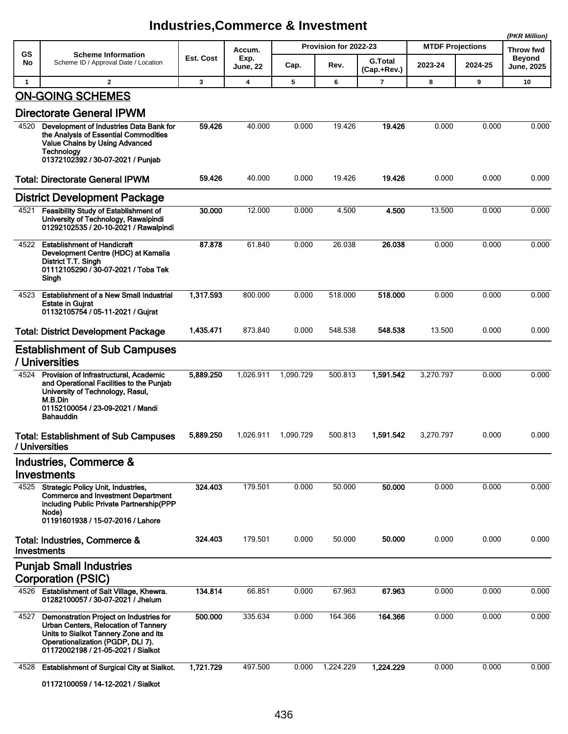|              |                                                                                                                                                                                                     |           |                         |           |                       |                               |                         |           | (PKR Million)                      |
|--------------|-----------------------------------------------------------------------------------------------------------------------------------------------------------------------------------------------------|-----------|-------------------------|-----------|-----------------------|-------------------------------|-------------------------|-----------|------------------------------------|
| <b>GS</b>    | <b>Scheme Information</b>                                                                                                                                                                           |           | Accum.                  |           | Provision for 2022-23 |                               | <b>MTDF Projections</b> | Throw fwd |                                    |
| No           | Scheme ID / Approval Date / Location                                                                                                                                                                | Est. Cost | Exp.<br><b>June, 22</b> | Cap.      | Rev.                  | <b>G.Total</b><br>(Cap.+Rev.) | 2023-24                 | 2024-25   | <b>Beyond</b><br><b>June, 2025</b> |
| $\mathbf{1}$ | $\mathbf{2}$                                                                                                                                                                                        | 3         | 4                       | 5         | 6                     | $\overline{7}$                | 8                       | 9         | 10                                 |
|              | <b>ON-GOING SCHEMES</b><br><b>Directorate General IPWM</b>                                                                                                                                          |           |                         |           |                       |                               |                         |           |                                    |
| 4520         | Development of Industries Data Bank for<br>the Analysis of Essential Commodities<br>Value Chains by Using Advanced<br>Technology<br>01372102392 / 30-07-2021 / Punjab                               | 59.426    | 40.000                  | 0.000     | 19.426                | 19.426                        | 0.000                   | 0.000     | 0.000                              |
|              | <b>Total: Directorate General IPWM</b>                                                                                                                                                              | 59.426    | 40.000                  | 0.000     | 19.426                | 19.426                        | 0.000                   | 0.000     | 0.000                              |
|              | <b>District Development Package</b>                                                                                                                                                                 |           |                         |           |                       |                               |                         |           |                                    |
| 4521         | <b>Feasibility Study of Establishment of</b><br>University of Technology, Rawalpindi<br>01292102535 / 20-10-2021 / Rawalpindi                                                                       | 30.000    | 12.000                  | 0.000     | 4.500                 | 4.500                         | 13.500                  | 0.000     | 0.000                              |
| 4522         | <b>Establishment of Handicraft</b><br>Development Centre (HDC) at Kamalia<br>District T.T. Singh<br>01112105290 / 30-07-2021 / Toba Tek<br>Singh                                                    | 87.878    | 61.840                  | 0.000     | 26.038                | 26.038                        | 0.000                   | 0.000     | 0.000                              |
| 4523         | <b>Establishment of a New Small Industrial</b><br><b>Estate in Guirat</b><br>01132105754 / 05-11-2021 / Gujrat                                                                                      | 1,317.593 | 800.000                 | 0.000     | 518.000               | 518.000                       | 0.000                   | 0.000     | 0.000                              |
|              | <b>Total: District Development Package</b>                                                                                                                                                          | 1,435.471 | 873.840                 | 0.000     | 548.538               | 548.538                       | 13.500                  | 0.000     | 0.000                              |
|              | <b>Establishment of Sub Campuses</b><br>/ Universities                                                                                                                                              |           |                         |           |                       |                               |                         |           |                                    |
| 4524         | Provision of Infrastructural, Academic<br>and Operational Facilities to the Punjab<br>University of Technology, Rasul,<br>M.B.Din<br>01152100054 / 23-09-2021 / Mandi<br><b>Bahauddin</b>           | 5,889.250 | 1,026.911               | 1,090.729 | 500.813               | 1,591.542                     | 3,270.797               | 0.000     | 0.000                              |
|              | <b>Total: Establishment of Sub Campuses</b><br>/ Universities                                                                                                                                       | 5,889.250 | 1,026.911               | 1,090.729 | 500.813               | 1.591.542                     | 3,270.797               | 0.000     | 0.000                              |
|              | Industries, Commerce &<br><b>Investments</b>                                                                                                                                                        |           |                         |           |                       |                               |                         |           |                                    |
|              | 4525 Strategic Policy Unit, Industries,<br><b>Commerce and Investment Department</b><br>including Public Private Partnership(PPP<br>Node)<br>01191601938 / 15-07-2016 / Lahore                      | 324.403   | 179.501                 | 0.000     | 50.000                | 50.000                        | 0.000                   | 0.000     | 0.000                              |
|              | Total: Industries, Commerce &<br>Investments                                                                                                                                                        | 324.403   | 179.501                 | 0.000     | 50.000                | 50.000                        | 0.000                   | 0.000     | 0.000                              |
|              | <b>Punjab Small Industries</b>                                                                                                                                                                      |           |                         |           |                       |                               |                         |           |                                    |
|              | <b>Corporation (PSIC)</b>                                                                                                                                                                           |           |                         |           |                       |                               |                         |           |                                    |
| 4526         | Establishment of Salt Village, Khewra.<br>01282100057 / 30-07-2021 / Jhelum                                                                                                                         | 134.814   | 66.851                  | 0.000     | 67.963                | 67.963                        | 0.000                   | 0.000     | 0.000                              |
| 4527         | Demonstration Project on Industries for<br>Urban Centers, Relocation of Tannery<br>Units to Sialkot Tannery Zone and its<br>Operationalization (PGDP, DLI 7).<br>01172002198 / 21-05-2021 / Sialkot | 500.000   | 335.634                 | 0.000     | 164.366               | 164.366                       | 0.000                   | 0.000     | 0.000                              |
| 4528         | Establishment of Surgical City at Sialkot.<br>01172100059 / 14-12-2021 / Sialkot                                                                                                                    | 1,721.729 | 497.500                 | 0.000     | 1,224.229             | 1,224.229                     | 0.000                   | 0.000     | 0.000                              |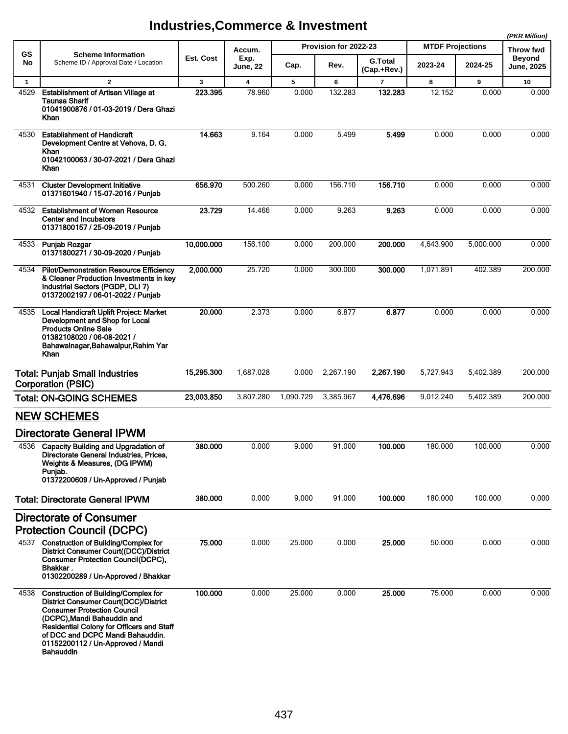**(PKR Million)**

|              |                                                                                                                                                                                                                                                                                                            |            |                  |           |                       |                               |                         |           | (PKR WIIIION)               |  |
|--------------|------------------------------------------------------------------------------------------------------------------------------------------------------------------------------------------------------------------------------------------------------------------------------------------------------------|------------|------------------|-----------|-----------------------|-------------------------------|-------------------------|-----------|-----------------------------|--|
| <b>GS</b>    | <b>Scheme Information</b><br>Scheme ID / Approval Date / Location                                                                                                                                                                                                                                          |            | Accum.           |           | Provision for 2022-23 |                               | <b>MTDF Projections</b> |           | Throw fwd                   |  |
| No           |                                                                                                                                                                                                                                                                                                            | Est. Cost  | Exp.<br>June, 22 | Cap.      | Rev.                  | <b>G.Total</b><br>(Cap.+Rev.) | 2023-24                 | 2024-25   | Beyond<br><b>June, 2025</b> |  |
| $\mathbf{1}$ | $\mathbf{2}$                                                                                                                                                                                                                                                                                               | 3          | 4                | 5         | 6                     | 7                             | 8                       | 9         | 10                          |  |
| 4529         | <b>Establishment of Artisan Village at</b><br><b>Taunsa Sharif</b><br>01041900876 / 01-03-2019 / Dera Ghazi<br>Khan                                                                                                                                                                                        | 223.395    | 78.960           | 0.000     | 132.283               | 132.283                       | 12.152                  | 0.000     | 0.000                       |  |
| 4530         | <b>Establishment of Handicraft</b><br>Development Centre at Vehova, D. G.<br>Khan<br>01042100063 / 30-07-2021 / Dera Ghazi<br>Khan                                                                                                                                                                         | 14.663     | 9.164            | 0.000     | 5.499                 | 5.499                         | 0.000                   | 0.000     | 0.000                       |  |
| 4531         | <b>Cluster Development Initiative</b><br>01371601940 / 15-07-2016 / Punjab                                                                                                                                                                                                                                 | 656.970    | 500.260          | 0.000     | 156.710               | 156.710                       | 0.000                   | 0.000     | 0.000                       |  |
| 4532         | <b>Establishment of Women Resource</b><br><b>Center and Incubators</b><br>01371800157 / 25-09-2019 / Punjab                                                                                                                                                                                                | 23.729     | 14.466           | 0.000     | 9.263                 | 9.263                         | 0.000                   | 0.000     | 0.000                       |  |
| 4533         | Punjab Rozgar<br>01371800271 / 30-09-2020 / Punjab                                                                                                                                                                                                                                                         | 10,000.000 | 156.100          | 0.000     | 200.000               | 200.000                       | 4,643.900               | 5.000.000 | 0.000                       |  |
| 4534         | <b>Pilot/Demonstration Resource Efficiency</b><br>& Cleaner Production Investments in key<br>Industrial Sectors (PGDP, DLI 7)<br>01372002197 / 06-01-2022 / Punjab                                                                                                                                         | 2,000.000  | 25.720           | 0.000     | 300.000               | 300.000                       | 1,071.891               | 402.389   | 200.000                     |  |
| 4535         | Local Handicraft Uplift Project: Market<br>Development and Shop for Local<br><b>Products Online Sale</b><br>01382108020 / 06-08-2021 /<br>Bahawalnagar, Bahawalpur, Rahim Yar<br>Khan                                                                                                                      | 20.000     | 2.373            | 0.000     | 6.877                 | 6.877                         | 0.000                   | 0.000     | 0.000                       |  |
|              | <b>Total: Punjab Small Industries</b><br><b>Corporation (PSIC)</b>                                                                                                                                                                                                                                         | 15,295.300 | 1,687.028        | 0.000     | 2,267.190             | 2,267.190                     | 5,727.943               | 5,402.389 | 200.000                     |  |
|              | <b>Total: ON-GOING SCHEMES</b>                                                                                                                                                                                                                                                                             | 23,003.850 | 3,807.280        | 1,090.729 | 3,385.967             | 4,476.696                     | 9,012.240               | 5,402.389 | 200.000                     |  |
|              | <b>NEW SCHEMES</b>                                                                                                                                                                                                                                                                                         |            |                  |           |                       |                               |                         |           |                             |  |
|              | <b>Directorate General IPWM</b>                                                                                                                                                                                                                                                                            |            |                  |           |                       |                               |                         |           |                             |  |
|              | 4536 Capacity Building and Upgradation of<br>Directorate General Industries, Prices,<br>Weights & Measures, (DG IPWM)<br>Punjab.<br>01372200609 / Un-Approved / Punjab                                                                                                                                     | 380.000    | 0.000            | 9.000     | 91.000                | 100.000                       | 180.000                 | 100.000   | 0.000                       |  |
|              | <b>Total: Directorate General IPWM</b>                                                                                                                                                                                                                                                                     | 380.000    | 0.000            | 9.000     | 91.000                | 100.000                       | 180.000                 | 100.000   | 0.000                       |  |
|              | <b>Directorate of Consumer</b><br><b>Protection Council (DCPC)</b>                                                                                                                                                                                                                                         |            |                  |           |                       |                               |                         |           |                             |  |
|              | 4537 Construction of Building/Complex for<br>District Consumer Court((DCC)/District<br><b>Consumer Protection Council(DCPC),</b><br>Bhakkar.<br>01302200289 / Un-Approved / Bhakkar                                                                                                                        | 75.000     | 0.000            | 25.000    | 0.000                 | 25.000                        | 50.000                  | 0.000     | 0.000                       |  |
| 4538         | <b>Construction of Building/Complex for</b><br>District Consumer Court(DCC)/District<br><b>Consumer Protection Council</b><br>(DCPC), Mandi Bahauddin and<br><b>Residential Colony for Officers and Staff</b><br>of DCC and DCPC Mandi Bahauddin.<br>01152200112 / Un-Approved / Mandi<br><b>Bahauddin</b> | 100.000    | 0.000            | 25.000    | 0.000                 | 25.000                        | 75.000                  | 0.000     | 0.000                       |  |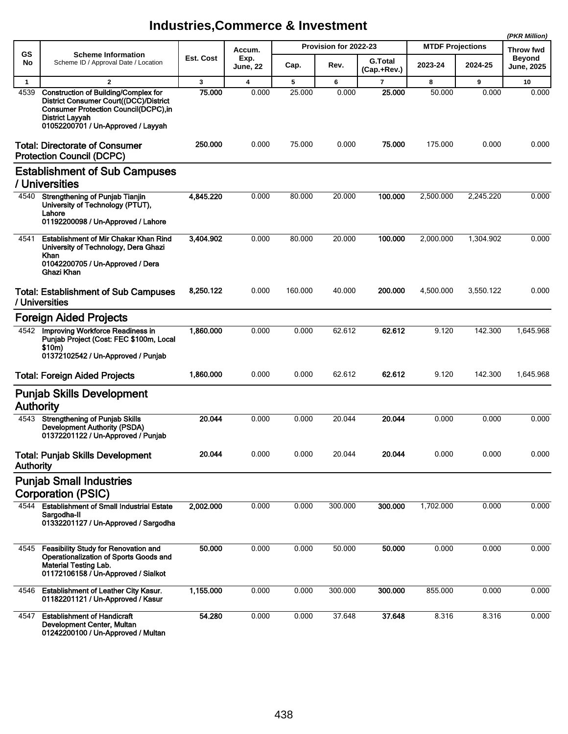| GS               | <b>Scheme Information</b>                                                                                                                                                                            |           | Accum.                  |         | Provision for 2022-23 |                               | <b>MTDF Projections</b> | Throw fwd |                                    |  |
|------------------|------------------------------------------------------------------------------------------------------------------------------------------------------------------------------------------------------|-----------|-------------------------|---------|-----------------------|-------------------------------|-------------------------|-----------|------------------------------------|--|
| No               | Scheme ID / Approval Date / Location                                                                                                                                                                 | Est. Cost | Exp.<br><b>June, 22</b> | Cap.    | Rev.                  | <b>G.Total</b><br>(Cap.+Rev.) | 2023-24                 | 2024-25   | <b>Beyond</b><br><b>June, 2025</b> |  |
| $\mathbf{1}$     | $\mathbf{2}$                                                                                                                                                                                         | 3         | $\overline{\mathbf{4}}$ | 5       | 6                     | $\overline{7}$                | 8                       | 9         | 10                                 |  |
| 4539             | <b>Construction of Building/Complex for</b><br>District Consumer Court((DCC)/District<br><b>Consumer Protection Council(DCPC),in</b><br><b>District Layyah</b><br>01052200701 / Un-Approved / Layyah | 75.000    | 0.000                   | 25.000  | 0.000                 | 25.000                        | 50.000                  | 0.000     | 0.000                              |  |
|                  | <b>Total: Directorate of Consumer</b><br><b>Protection Council (DCPC)</b>                                                                                                                            | 250.000   | 0.000                   | 75.000  | 0.000                 | 75.000                        | 175.000                 | 0.000     | 0.000                              |  |
|                  | <b>Establishment of Sub Campuses</b><br>/ Universities                                                                                                                                               |           |                         |         |                       |                               |                         |           |                                    |  |
| 4540             | <b>Strengthening of Punjab Tianjin</b><br>University of Technology (PTUT),<br>Lahore<br>01192200098 / Un-Approved / Lahore                                                                           | 4,845.220 | 0.000                   | 80.000  | 20.000                | 100.000                       | 2,500.000               | 2,245.220 | 0.000                              |  |
| 4541             | Establishment of Mir Chakar Khan Rind<br>University of Technology, Dera Ghazi<br>Khan<br>01042200705 / Un-Approved / Dera<br>Ghazi Khan                                                              | 3,404.902 | 0.000                   | 80.000  | 20.000                | 100.000                       | 2,000.000               | 1.304.902 | 0.000                              |  |
|                  | <b>Total: Establishment of Sub Campuses</b><br>/ Universities                                                                                                                                        | 8,250.122 | 0.000                   | 160.000 | 40.000                | 200.000                       | 4,500.000               | 3,550.122 | 0.000                              |  |
|                  | <b>Foreign Aided Projects</b>                                                                                                                                                                        |           |                         |         |                       |                               |                         |           |                                    |  |
| 4542             | Improving Workforce Readiness in<br>Punjab Project (Cost: FEC \$100m, Local<br>\$10m)<br>01372102542 / Un-Approved / Punjab                                                                          | 1,860.000 | 0.000                   | 0.000   | 62.612                | 62.612                        | 9.120                   | 142.300   | 1,645.968                          |  |
|                  | <b>Total: Foreign Aided Projects</b>                                                                                                                                                                 | 1,860.000 | 0.000                   | 0.000   | 62.612                | 62.612                        | 9.120                   | 142.300   | 1,645.968                          |  |
| <b>Authority</b> | <b>Punjab Skills Development</b>                                                                                                                                                                     |           |                         |         |                       |                               |                         |           |                                    |  |
| 4543             | <b>Strenathening of Puniab Skills</b><br><b>Development Authority (PSDA)</b><br>01372201122 / Un-Approved / Punjab                                                                                   | 20.044    | 0.000                   | 0.000   | 20.044                | 20.044                        | 0.000                   | 0.000     | 0.000                              |  |
| <b>Authority</b> | <b>Total: Punjab Skills Development</b>                                                                                                                                                              | 20.044    | 0.000                   | 0.000   | 20.044                | 20.044                        | 0.000                   | 0.000     | 0.000                              |  |
|                  | <b>Punjab Small Industries</b>                                                                                                                                                                       |           |                         |         |                       |                               |                         |           |                                    |  |
|                  | <b>Corporation (PSIC)</b>                                                                                                                                                                            |           |                         |         |                       |                               |                         |           |                                    |  |
| 4544             | <b>Establishment of Small Industrial Estate</b><br>Sargodha-II<br>01332201127 / Un-Approved / Sargodha                                                                                               | 2,002.000 | 0.000                   | 0.000   | 300.000               | 300.000                       | 1,702.000               | 0.000     | 0.000                              |  |
| 4545             | <b>Feasibility Study for Renovation and</b><br>Operationalization of Sports Goods and<br>Material Testing Lab.<br>01172106158 / Un-Approved / Sialkot                                                | 50.000    | 0.000                   | 0.000   | 50.000                | 50.000                        | 0.000                   | 0.000     | 0.000                              |  |
| 4546             | <b>Establishment of Leather City Kasur.</b><br>01182201121 / Un-Approved / Kasur                                                                                                                     | 1,155.000 | 0.000                   | 0.000   | 300.000               | 300.000                       | 855.000                 | 0.000     | 0.000                              |  |
| 4547             | <b>Establishment of Handicraft</b><br>Development Center, Multan<br>01242200100 / Un-Approved / Multan                                                                                               | 54.280    | 0.000                   | 0.000   | 37.648                | 37.648                        | 8.316                   | 8.316     | 0.000                              |  |